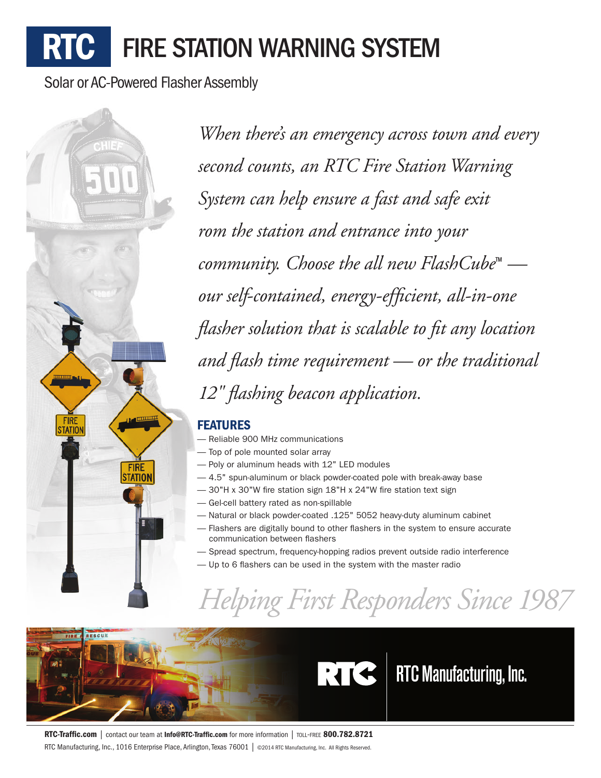# **RTC** FIRE STATION WARNING SYSTEM

Solar or AC-Powered Flasher Assembly



*When there's an emergency across town and every second counts, an RTC Fire Station Warning System can help ensure a fast and safe exit rom the station and entrance into your community. Choose the all new FlashCube*™  *our self-contained, energy-efficient, all-in-one flasher solution that is scalable to fit any location and flash time requirement — or the traditional 12" flashing beacon application.*

### FEATURES

- Reliable 900 MHz communications
- Top of pole mounted solar array
- Poly or aluminum heads with 12" LED modules
- 4.5" spun-aluminum or black powder-coated pole with break-away base
- 30"H x 30"W fire station sign 18"H x 24"W fire station text sign
- Gel-cell battery rated as non-spillable
- Natural or black powder-coated .125" 5052 heavy-duty aluminum cabinet
- Flashers are digitally bound to other flashers in the system to ensure accurate communication between flashers
- Spread spectrum, frequency-hopping radios prevent outside radio interference
- Up to 6 flashers can be used in the system with the master radio

## *Helping First Responders Since 1987*



RTC-Traffic.com | contact our team at Info@RTC-Traffic.com for more information | TOLL-FREE 800.782.8721 RTC Manufacturing, Inc., 1016 Enterprise Place, Arlington, Texas 76001 | @2014 RTC Manufacturing, Inc. All Rights Reserved.